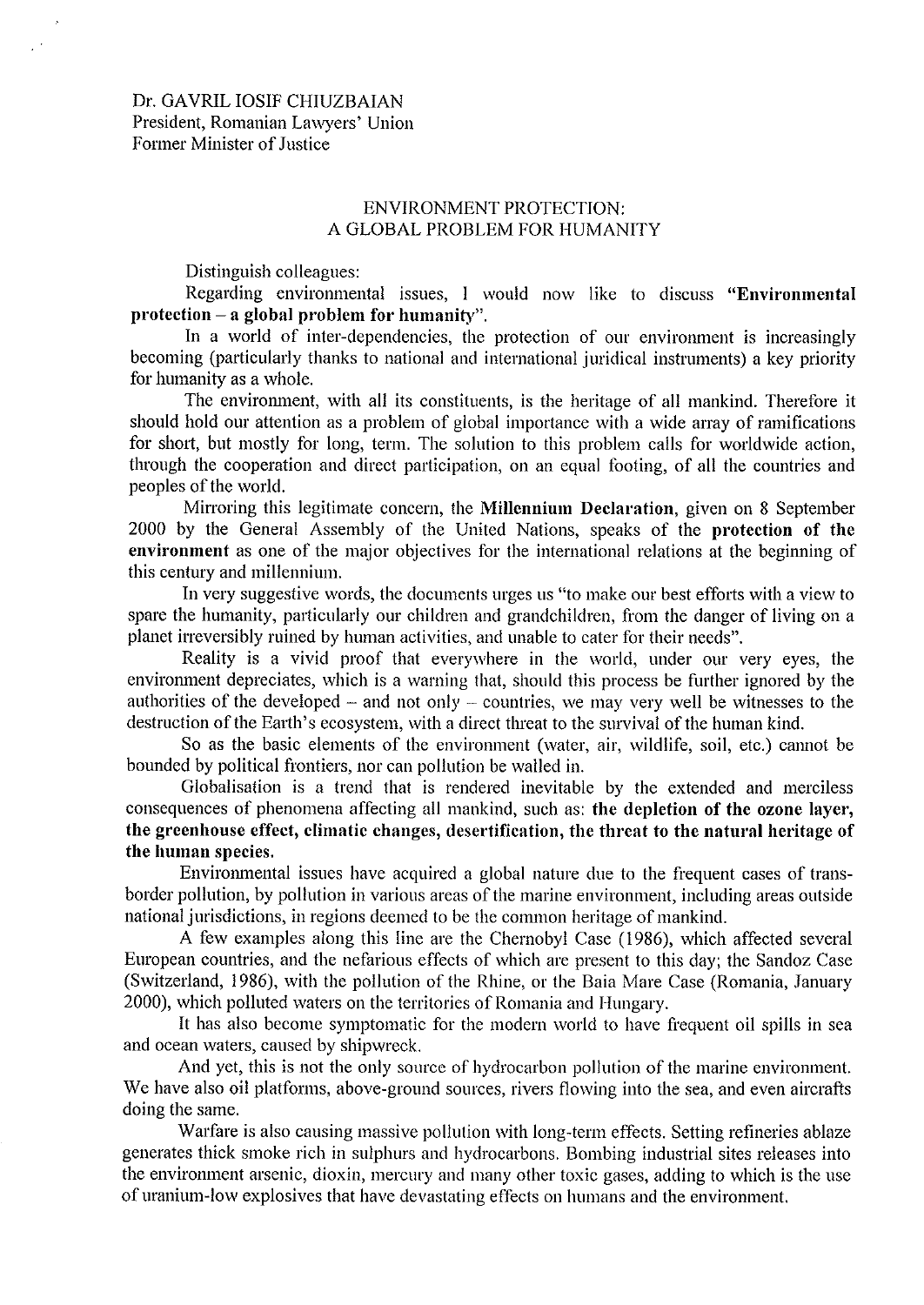Dr. GAVRIL IOSIF CHIUZBAIAN President, Romanian Lawyers' Union Fomer Minister of Justice

## ENVIRONMENT PROTECTION: A GLOBAL PROBLEM FOR HUMANITY

Distinguish colleagnes:

Regarding environmental issues, 1 would now like to discuss "Environmental protection  $-$  a global problem for humanity".

In a world of inter-dependencies, the protection of our environment is increasingly becoming (particularly thanks to national and international juridical instruments) a key priority for humanity as a whole.

The environment, with all its constituents, is the heritage of all mankind. Therefore it should hold our attention as a problem of global importance with a wide array of ramifications for short, but mostly for long, term. The solution to this problem calls for worldwide action, through the cooperation and direct participation, on an equal footing, of all the countries and peoples of the world.

Mirroring this legitimate concern, the Millennium Declaration, given on 8 September 2000 by the General Assembly of the United Nations, speaks of the protection of the environment as one of the major objectives for the international relations at the beginning of this century and millennium.

In very suggestive words, the documents urges us "to make our best efforts with a view to spare the humanity, particularly our children and grandchildren, from the danger of living on a planet irreversibly ruined by human activities, and unable to cater for their needs".

Reality is a vivid proof that everywhere in the world, under our very eyes, the environment depreciates, which is a warning that, should this process be further ignored by the authorities of the developed  $-$  and not only  $-$  countries, we may very well be witnesses to the destruction of the Earth's ecosystem, with a direct threat to the survival of the human kind.

So as the basic elements of the environment (water, air, wildlife, soil, etc.) cannot be bounded by political frontiers, nor can pollution be walled in.

Globalisation is a trend that is rendered inevitable by the extended and merciless consequences of phenomena affecting all mankind, such as: the depletion of the ozone layer, the greenhouse effect, climatic changes, desertification, the threat to the natural heritage of the human species.

Biviromnental issues have acquired a global nature dne to the frequent cases of transborder pollution, by pollution in various areas of the marine environment, including areas outside national jurisdictions, in regions deemed to be the common heritage of mankind.

A few examples along this line are the Chernobyl Case (1986), which affected several European countries, and the nefarious effects of which are present to this day; the Sandoz Case (Switzerland, 1986), with the pollution of the Rhine, or the Baia Mare Case (Romania, January 2000), which polluted waters on the territories of Romania and Hungary.

It has also become symptomatic for the modern world to have frequent oil spills in sea and ocean waters, caused by shipwreck.

And yet, this is not the only source of hydrocarbon pollution of the marine environment. We have also oil platforms, above-ground sources, rivers flowing into the sea, and even aircrafts doing the same.

Warfare is also causing massive pollution with long-term effects. Setting refineries ablaze generates thick smoke rich in sulphurs and hydrocarbons. Bombing industrial sites releases into the environment arsenic, dioxin, mercury and many other toxic gases, adding to which is the use of uranium-low explosives that have devastating effects on humans and the environment.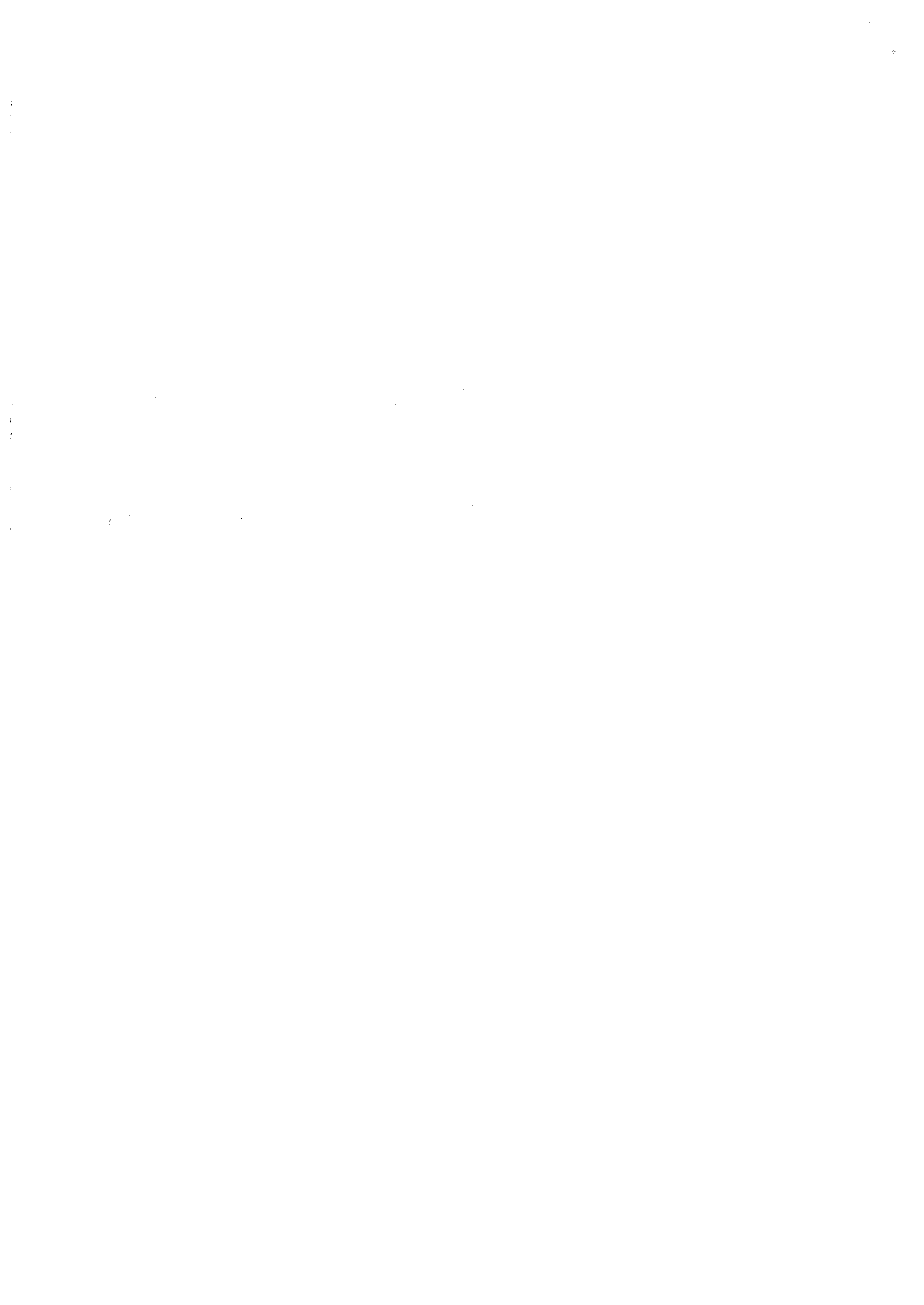$\begin{array}{c} \mathcal{F} \\ \mathcal{F} \\ \mathcal{F} \end{array}$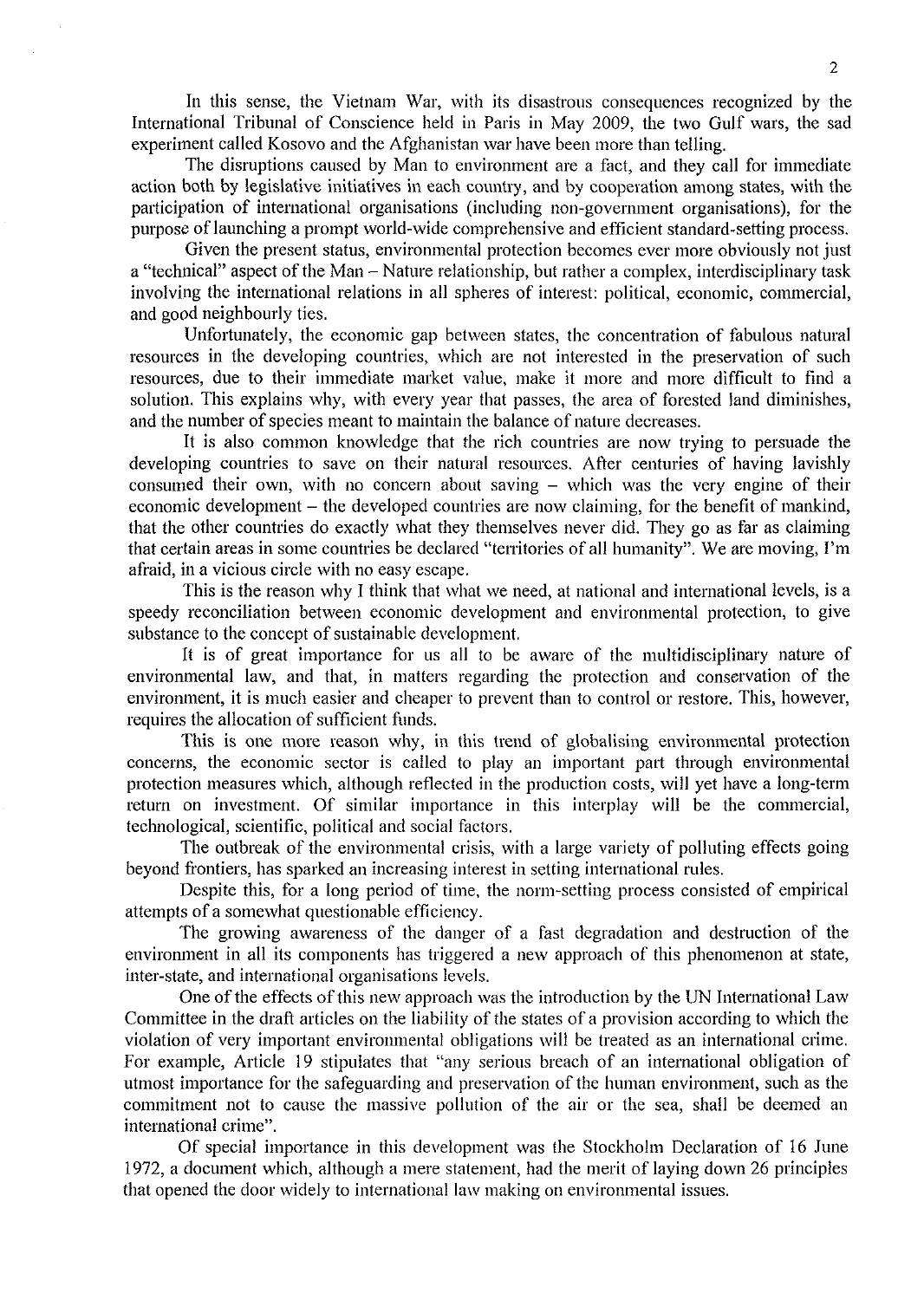In this sense, the Vietnam War, with its disastrous consequences recognized by the International Tribunal of Conscience held in Paris in May 2009, the two Gulf wars, the sad experiment called Kosovo and the Afghanistan war have been more than telling.

The disruptions caused by Man to environment are a fact, and they call for immediate action both by legislative initiatives in each country, and by cooperation among states, with the participation of international organisations (including non-govermnent organisations), for the purpose of launching a prompt world-wide comprehensive and efficient standard-setting process.

Given the present status, environmental protection becomes ever more obviously not just a "technical" aspect of the Man – Nature relationship, but rather a complex, interdisciplinary task involving the international relations in all spheres of interest: political, economic, commercial, and good neighbourly ties.

Unfortunately, the economic gap between states, the concentration of fabulous natural resources in the developing countries, which are not interested in the preservation of such resources, due to their immediate market value, make it more and more difficult to find a solution. This explains why, with every year that passes, the area of forested land diminishes, and the number of species meant to maintain the balance of nature decreases.

It is also common knowledge that the rich countries are now trying to persuade the developing countries to save on their natural resources. After centuries of having lavishly consumed their own, with no concern about saving  $-$  which was the very engine of their economic development – the developed countries are now claiming, for the benefit of mankind, that the other countries do exactly what they themselves never did. They go as far as claiming that certain areas in some countries be declared "territories of all humanity". We are moving, I'm afraid, in a vicious circle with no easy escape.

This is the reason why I think that what we need, at national and international levels, is a speedy reconciliation between economic development and environmental protection, to give substance to the concept of sustainable development.

It is of great importance for us all to be aware of the multidisciplinary nature of environmental law, and that, in matters regarding the protection and conservation of the environment, it is much easier and cheaper to prevent than to control or restore. This, however, requires the allocation of sufficient funds.

This is one more reason why, in this trend of globalising environmental protection concerns, the economic sector is called to play an important part through environmental protection measures which, although reflected in the production costs, will yet have a long-term return on investment. Of similar importance in this interplay will be the commercial, technological, scientific, political and social factors.

The outbreak of the environmental crisis, with a large variety of polluting effects going beyond frontiers, has sparked an increasing interest in setting international rules.

Despite this, for a long period of time, the norm-setting process consisted of empirical attempts of a somewhat questionable efficiency.

The growing awareness of the danger of a fast degradation and destruction of the environment in all its components has triggered a new approach of this phenomenon at state, inter-state, and international organisations levels.

One of the effects of this new approach was the introduction by the UN International Law Committee in the draft articles on the liability of the states of a provision according to which the violation of very important enviromnental obligations will be treated as an international crime. For example, Article 19 stipulates that "any serious breach of an international obligation of utmost importance for the safeguarding and preservation of the human environment, such as the commitment not to cause the massive pollution of the air or the sea, shall be deemed an international crime".

Of special importance in this development was the Stockholm Declaration of 16 June 1972, a document which, although a mere statement, had the merit of laying down 26 principles that opened the door widely to international law making on environmental issues.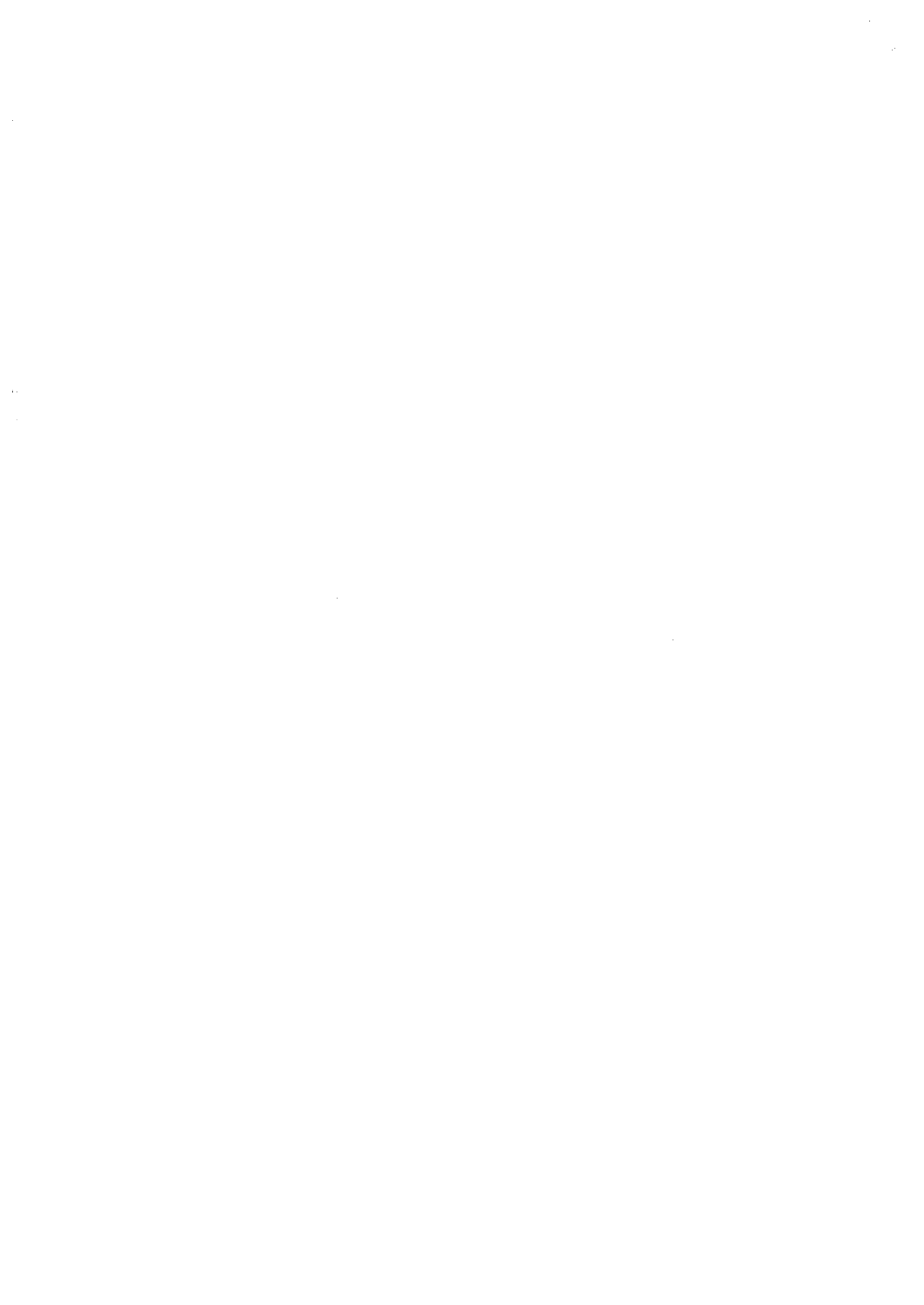$\label{eq:2} \frac{1}{\sqrt{2}}\int_{0}^{\infty}\frac{1}{\sqrt{2\pi}}\left(\frac{1}{\sqrt{2}}\right)^{2}d\mu_{\rm{eff}}$ 

 $\label{eq:1} \begin{split} \mathbf{a}_{\mathbf{a}} &= \mathbf{a}_{\mathbf{a}} \\ \mathbf{a}_{\mathbf{a}} &= \mathbf{a}_{\mathbf{a}} \\ \mathbf{a}_{\mathbf{a}} &= \mathbf{a}_{\mathbf{a}} \\ \mathbf{a}_{\mathbf{a}} &= \mathbf{a}_{\mathbf{a}} \\ \mathbf{a}_{\mathbf{a}} &= \mathbf{a}_{\mathbf{a}} \\ \mathbf{a}_{\mathbf{a}} &= \mathbf{a}_{\mathbf{a}} \\ \mathbf{a}_{\mathbf{a}} &= \mathbf{a}_{\mathbf{a}} \\ \mathbf{a}_{\mathbf{a}} &= \mathbf{a}_{\mathbf{a}} \\$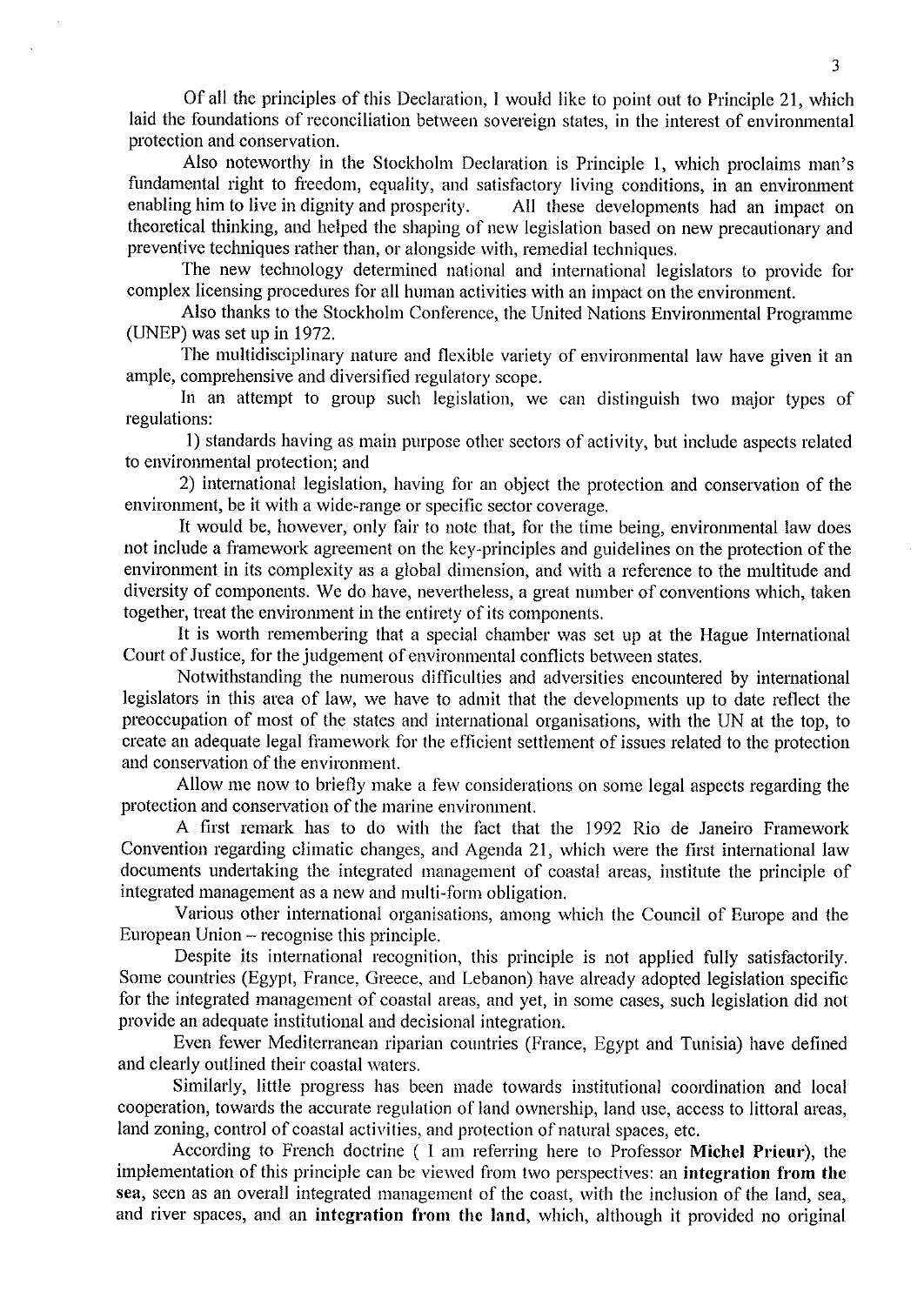Of all the principles of this Declaration, I would like to point out to Principle 21, which laid the foundations of reconciliation between sovereign states, in the interest of environmental protection and conservation.

Also noteworthy in the Stockholm Declaration is Principle 1, which proclaims man's fundamental right to freedom, equality, and satisfactory living conditions, in an environment enabling him to live in dignity and prosperity. All these developments had an impact on theoretical thinking, and helped the shaping of new legislation based on new precautionary and preventive techniques rather than, or alongside with, remedial techniques.

The new technology determined national and international legislators to provide for complex licensing procedures for all human activities with an impact on the environment.

Also thanks to the Stockholm Conference, the United Nations Environmental Programme (UNEP) was set up in 1972.

The multidisciplinary nature and flexible variety of environmental law have given it an ample, comprehensive and diversified regulatory scope.

In an attempt to group such legislation, we can distinguish two major types of regulations:

1) standards having as main purpose other sectors of activity, but include aspects related to environmental protection; and

2) international legislation, having for an object the protection and conservation of the environment, be it with a wide-range or specific sector coverage.

It would be, however, only fair to note that, for the time being, environmental law does not include a framework agreement on the key-principles and guidelines on the protection of the environment in its complexity as a global dimension, and with a reference to the multitude and diversity of components. We do have, nevertheless, a great number of conventions which, taken together, treat the environment in the entirety of its components.

It is worth remembering that a special chamber was set up at the Hague International Court of Justice, for the judgement of environmental conflicts between states.

Notwithstanding the numerous difficulties and adversities encountered by international legislators in this area of law, we have to admit that the developments up to date reflect the preoccupation of most of the states and international organisations, with the UN at the top, to create an adequate legal framework for the efficient settlement of issues related to the protection and conservation of the environment.

Allow me now to briefly make a few considerations on some legal aspects regarding the protection and conservation of the marine environment.

A first remark has to do with the fact that the 1992 Rio de Janeiro Framework Convention regarding climatic changes, and Agenda 21, which were the first international law documents undertaking the integrated management of coastal areas, institute the principle of integrated management as a new and multi-form obligation.

Various other international organisations, among which the Council of Europe and the European Union - recognise this principle.

Despite its international recognition, this principle is not applied fully satisfactorily. Some countries (Egypt, France, Greece, and Lebanon) have already adopted legislation specific for the integrated management of coastal areas, and yet, in some cases, such legislation did not provide an adequate institutional and decisional integration.

Even fewer Mediterranean riparian countries (France, Egypt and Tunisia) have defined and clearly outlined their coastal waters.

Similarly, little progress has been made towards institutional coordination and local cooperation, towards the accurate regulation of land ownership, land use, access to littoral areas, land zoning, control of coastal activities, and protection of natural spaces, etc.

According to French doctrine ( I am referring here to Professor Michel Prieur), the implementation of this principle can be viewed from two perspectives: an integration from the sea, seen as an overall integrated management of the coast, with the inclusion of the land, sea, and river spaces, and an integration from the land, which, although it provided no original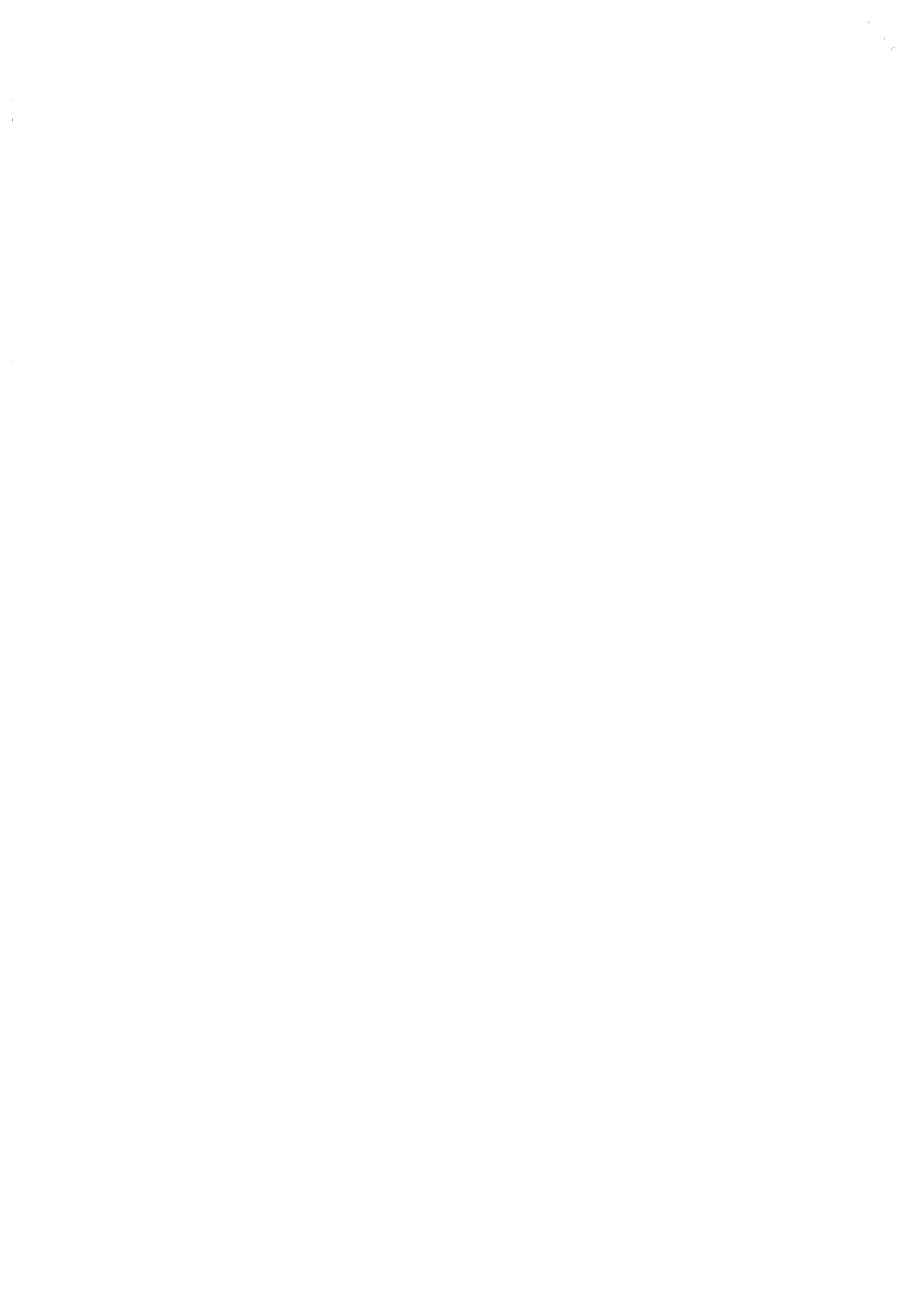$\hat{\mathcal{A}}$  $\bar{\beta}$   $\hat{\boldsymbol{\theta}}$  $\frac{1}{\sqrt{2}}$